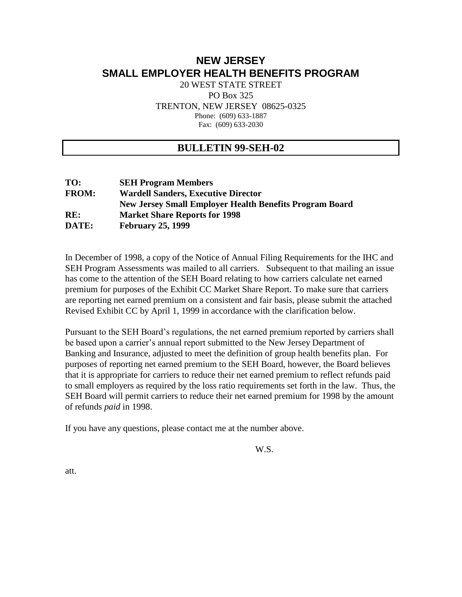# **NEW JERSEY SMALL EMPLOYER HEALTH BENEFITS PROGRAM**

20 WEST STATE STREET PO Box 325 TRENTON, NEW JERSEY 08625-0325 Phone: (609) 633-1887 Fax: (609) 633-2030

### **BULLETIN 99-SEH-02**

| TO:          | <b>SEH Program Members</b>                                     |
|--------------|----------------------------------------------------------------|
| <b>FROM:</b> | <b>Wardell Sanders, Executive Director</b>                     |
|              | <b>New Jersey Small Employer Health Benefits Program Board</b> |
| RE:          | <b>Market Share Reports for 1998</b>                           |
| DATE:        | <b>February 25, 1999</b>                                       |

In December of 1998, a copy of the Notice of Annual Filing Requirements for the IHC and SEH Program Assessments was mailed to all carriers. Subsequent to that mailing an issue has come to the attention of the SEH Board relating to how carriers calculate net earned premium for purposes of the Exhibit CC Market Share Report. To make sure that carriers are reporting net earned premium on a consistent and fair basis, please submit the attached Revised Exhibit CC by April 1, 1999 in accordance with the clarification below.

Pursuant to the SEH Board's regulations, the net earned premium reported by carriers shall be based upon a carrier's annual report submitted to the New Jersey Department of Banking and Insurance, adjusted to meet the definition of group health benefits plan. For purposes of reporting net earned premium to the SEH Board, however, the Board believes that it is appropriate for carriers to reduce their net earned premium to reflect refunds paid to small employers as required by the loss ratio requirements set forth in the law. Thus, the SEH Board will permit carriers to reduce their net earned premium for 1998 by the amount of refunds *paid* in 1998.

If you have any questions, please contact me at the number above.

W.S.

att.